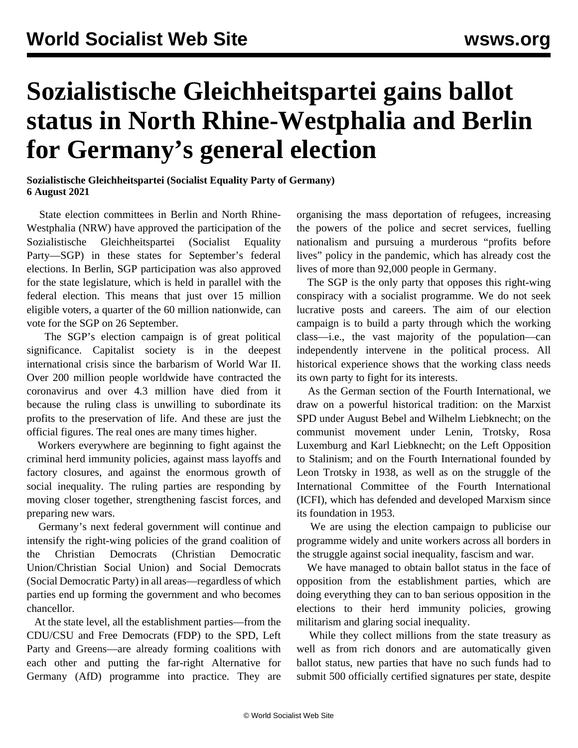## **Sozialistische Gleichheitspartei gains ballot status in North Rhine-Westphalia and Berlin for Germany's general election**

**Sozialistische Gleichheitspartei (Socialist Equality Party of Germany) 6 August 2021**

 State election committees in Berlin and North Rhine-Westphalia (NRW) have approved the participation of the Sozialistische Gleichheitspartei (Socialist Equality Party—SGP) in these states for September's federal elections. In Berlin, SGP participation was also approved for the state legislature, which is held in parallel with the federal election. This means that just over 15 million eligible voters, a quarter of the 60 million nationwide, can vote for the SGP on 26 September.

 The SGP's election campaign is of great political significance. Capitalist society is in the deepest international crisis since the barbarism of World War II. Over 200 million people worldwide have contracted the coronavirus and over 4.3 million have died from it because the ruling class is unwilling to subordinate its profits to the preservation of life. And these are just the official figures. The real ones are many times higher.

 Workers everywhere are beginning to fight against the criminal herd immunity policies, against mass layoffs and factory closures, and against the enormous growth of social inequality. The ruling parties are responding by moving closer together, strengthening fascist forces, and preparing new wars.

 Germany's next federal government will continue and intensify the right-wing policies of the grand coalition of the Christian Democrats (Christian Democratic Union/Christian Social Union) and Social Democrats (Social Democratic Party) in all areas—regardless of which parties end up forming the government and who becomes chancellor.

 At the state level, all the establishment parties—from the CDU/CSU and Free Democrats (FDP) to the SPD, Left Party and Greens—are already forming coalitions with each other and putting the far-right Alternative for Germany (AfD) programme into practice. They are

organising the mass deportation of refugees, increasing the powers of the police and secret services, fuelling nationalism and pursuing a murderous "profits before lives" policy in the pandemic, which has already cost the lives of more than 92,000 people in Germany.

 The SGP is the only party that opposes this right-wing conspiracy with a socialist programme. We do not seek lucrative posts and careers. The aim of our election campaign is to build a party through which the working class—i.e., the vast majority of the population—can independently intervene in the political process. All historical experience shows that the working class needs its own party to fight for its interests.

 As the German section of the Fourth International, we draw on a powerful historical tradition: on the Marxist SPD under August Bebel and Wilhelm Liebknecht; on the communist movement under Lenin, Trotsky, Rosa Luxemburg and Karl Liebknecht; on the Left Opposition to Stalinism; and on the Fourth International founded by Leon Trotsky in 1938, as well as on the struggle of the International Committee of the Fourth International (ICFI), which has defended and developed Marxism since its foundation in 1953.

 We are using the election campaign to publicise our programme widely and unite workers across all borders in the struggle against social inequality, fascism and war.

 We have managed to obtain ballot status in the face of opposition from the establishment parties, which are doing everything they can to ban serious opposition in the elections to their herd immunity policies, growing militarism and glaring social inequality.

 While they collect millions from the state treasury as well as from rich donors and are automatically given ballot status, new parties that have no such funds had to submit 500 officially certified signatures per state, despite